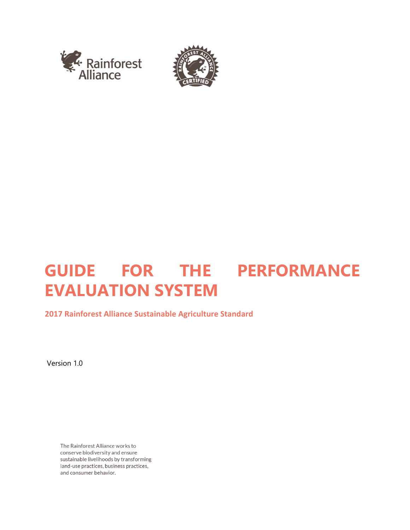



# **GUIDE FOR THE PERFORMANCE EVALUATION SYSTEM**

# **2017 Rainforest Alliance Sustainable Agriculture Standard**

Version 1.0

The Rainforest Alliance works to conserve biodiversity and ensure sustainable livelihoods by transforming land-use practices, business practices, and consumer behavior.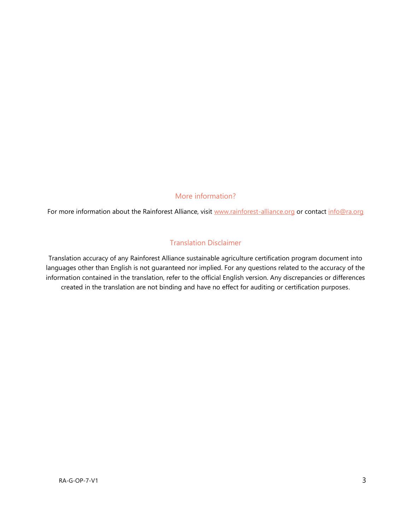#### More information?

For more information about the Rainforest Alliance, visit [www.rainforest-alliance.org](http://www.rainforest-alliance.org/) or contact [info@ra.org](mailto:info@ra.org)

#### Translation Disclaimer

Translation accuracy of any Rainforest Alliance sustainable agriculture certification program document into languages other than English is not guaranteed nor implied. For any questions related to the accuracy of the information contained in the translation, refer to the official English version. Any discrepancies or differences created in the translation are not binding and have no effect for auditing or certification purposes.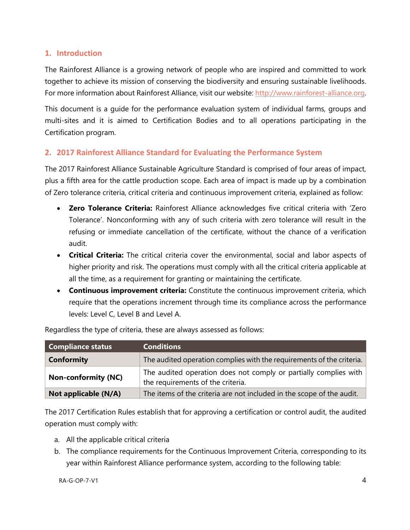#### **1. Introduction**

The Rainforest Alliance is a growing network of people who are inspired and committed to work together to achieve its mission of conserving the biodiversity and ensuring sustainable livelihoods. For more information about Rainforest Alliance, visit our website: [http://www.rainforest-alliance.org.](http://www.rainforest-alliance.org/)

This document is a guide for the performance evaluation system of individual farms, groups and multi-sites and it is aimed to Certification Bodies and to all operations participating in the Certification program.

## **2. 2017 Rainforest Alliance Standard for Evaluating the Performance System**

The 2017 Rainforest Alliance Sustainable Agriculture Standard is comprised of four areas of impact, plus a fifth area for the cattle production scope. Each area of impact is made up by a combination of Zero tolerance criteria, critical criteria and continuous improvement criteria, explained as follow:

- **Zero Tolerance Criteria:** Rainforest Alliance acknowledges five critical criteria with 'Zero Tolerance'. Nonconforming with any of such criteria with zero tolerance will result in the refusing or immediate cancellation of the certificate, without the chance of a verification audit.
- **Critical Criteria:** The critical criteria cover the environmental, social and labor aspects of higher priority and risk. The operations must comply with all the critical criteria applicable at all the time, as a requirement for granting or maintaining the certificate.
- **Continuous improvement criteria:** Constitute the continuous improvement criteria, which require that the operations increment through time its compliance across the performance levels: Level C, Level B and Level A.

| <b>Compliance status</b>   | <b>Conditions</b>                                                                                     |
|----------------------------|-------------------------------------------------------------------------------------------------------|
| <b>Conformity</b>          | The audited operation complies with the requirements of the criteria.                                 |
| <b>Non-conformity (NC)</b> | The audited operation does not comply or partially complies with<br>the requirements of the criteria. |
| Not applicable (N/A)       | The items of the criteria are not included in the scope of the audit.                                 |

Regardless the type of criteria, these are always assessed as follows:

The 2017 Certification Rules establish that for approving a certification or control audit, the audited operation must comply with:

- a. All the applicable critical criteria
- b. The compliance requirements for the Continuous Improvement Criteria, corresponding to its year within Rainforest Alliance performance system, according to the following table: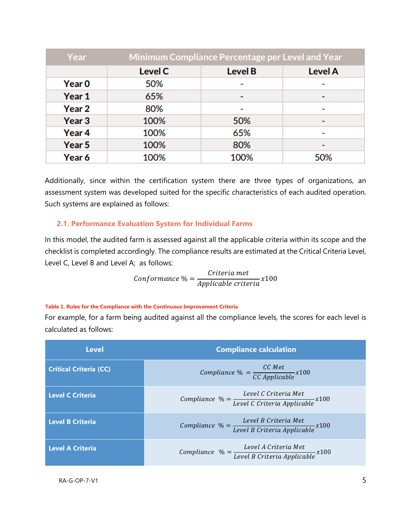| Year          | Minimum Compliance Percentage per Level and Year |                |                |  |
|---------------|--------------------------------------------------|----------------|----------------|--|
|               | <b>Level C</b>                                   | <b>Level B</b> | <b>Level A</b> |  |
| <b>Year 0</b> | 50%                                              |                |                |  |
| Year 1        | 65%                                              | ٠              |                |  |
| Year 2        | 80%                                              |                |                |  |
| Year 3        | 100%                                             | 50%            |                |  |
| Year 4        | 100%                                             | 65%            |                |  |
| Year 5        | 100%                                             | 80%            |                |  |
| Year 6        | 100%                                             | 100%           | 50%            |  |

Additionally, since within the certification system there are three types of organizations, an assessment system was developed suited for the specific characteristics of each audited operation. Such systems are explained as follows:

#### **2.1. Performance Evaluation System for Individual Farms**

In this model, the audited farm is assessed against all the applicable criteria within its scope and the checklist is completed accordingly. The compliance results are estimated at the Critical Criteria Level, Level C, Level B and Level A; as follows:

$$
Conformance \% = \frac{Criteria met}{Applicable criteria} x100
$$

#### **Table 1. Rules for the Compliance with the Continuous Improvement Criteria**

For example, for a farm being audited against all the compliance levels, the scores for each level is calculated as follows:

| Level                         | <b>Compliance calculation</b>                                                              |  |
|-------------------------------|--------------------------------------------------------------------------------------------|--|
| <b>Critical Criteria (CC)</b> | Compliance $\% = \frac{CC \; Met}{CC \; Applied}$ x100                                     |  |
| <b>Level C Criteria</b>       | Compliance $\% = \frac{Level C C}{Level C C}$ Criteria Applicable $x100$                   |  |
| <b>Level B Criteria</b>       | Compliance $\% = \frac{Level \ B \ Criteria \ Met}{Level \ B \ Criteria \ Applied \ x100}$ |  |
| <b>Level A Criteria</b>       | Compliance $\% = \frac{Level \ A \ Criteria \ Met}{Level \ B \ Criteria \ Applied \ x100}$ |  |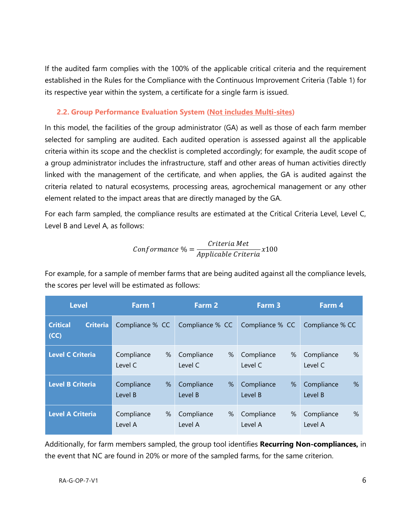If the audited farm complies with the 100% of the applicable critical criteria and the requirement established in the Rules for the Compliance with the Continuous Improvement Criteria (Table 1) for its respective year within the system, a certificate for a single farm is issued.

#### **2.2. Group Performance Evaluation System (Not includes Multi-sites)**

In this model, the facilities of the group administrator (GA) as well as those of each farm member selected for sampling are audited. Each audited operation is assessed against all the applicable criteria within its scope and the checklist is completed accordingly; for example, the audit scope of a group administrator includes the infrastructure, staff and other areas of human activities directly linked with the management of the certificate, and when applies, the GA is audited against the criteria related to natural ecosystems, processing areas, agrochemical management or any other element related to the impact areas that are directly managed by the GA.

For each farm sampled, the compliance results are estimated at the Critical Criteria Level, Level C, Level B and Level A, as follows:

$$
Conformance \% = \frac{Criteria Met}{Applicable Criteria} x100
$$

For example, for a sample of member farms that are being audited against all the compliance levels, the scores per level will be estimated as follows:

| <b>Level</b>                               | Farm 1          | Farm 2          | Farm 3          | Farm 4          |
|--------------------------------------------|-----------------|-----------------|-----------------|-----------------|
| <b>Critical</b><br><b>Criteria</b><br>(CC) | Compliance % CC | Compliance % CC | Compliance % CC | Compliance % CC |
| <b>Level C Criteria</b>                    | Compliance      | %               | Compliance      | $\%$            |
|                                            | %               | Compliance      | %               | Compliance      |
|                                            | Level C         | Level C         | Level C         | Level C         |
| <b>Level B Criteria</b>                    | Compliance      | %               | %               | Compliance      |
|                                            | %               | Compliance      | Compliance      | $\%$            |
|                                            | Level B         | Level B         | Level B         | Level B         |
| <b>Level A Criteria</b>                    | Compliance      | Compliance      | Compliance      | Compliance      |
|                                            | %               | %               | %               | $\%$            |
|                                            | Level A         | Level A         | Level A         | Level A         |

Additionally, for farm members sampled, the group tool identifies **Recurring Non-compliances,** in the event that NC are found in 20% or more of the sampled farms, for the same criterion.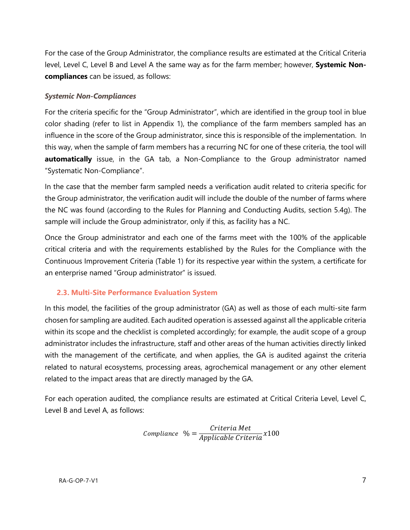For the case of the Group Administrator, the compliance results are estimated at the Critical Criteria level, Level C, Level B and Level A the same way as for the farm member; however, **Systemic Noncompliances** can be issued, as follows:

#### *Systemic Non-Compliances*

For the criteria specific for the "Group Administrator", which are identified in the group tool in blue color shading (refer to list in Appendix 1), the compliance of the farm members sampled has an influence in the score of the Group administrator, since this is responsible of the implementation. In this way, when the sample of farm members has a recurring NC for one of these criteria, the tool will **automatically** issue, in the GA tab, a Non-Compliance to the Group administrator named "Systematic Non-Compliance".

In the case that the member farm sampled needs a verification audit related to criteria specific for the Group administrator, the verification audit will include the double of the number of farms where the NC was found (according to the Rules for Planning and Conducting Audits, section 5.4g). The sample will include the Group administrator, only if this, as facility has a NC.

Once the Group administrator and each one of the farms meet with the 100% of the applicable critical criteria and with the requirements established by the Rules for the Compliance with the Continuous Improvement Criteria (Table 1) for its respective year within the system, a certificate for an enterprise named "Group administrator" is issued.

## **2.3. Multi-Site Performance Evaluation System**

In this model, the facilities of the group administrator (GA) as well as those of each multi-site farm chosen for sampling are audited. Each audited operation is assessed against all the applicable criteria within its scope and the checklist is completed accordingly; for example, the audit scope of a group administrator includes the infrastructure, staff and other areas of the human activities directly linked with the management of the certificate, and when applies, the GA is audited against the criteria related to natural ecosystems, processing areas, agrochemical management or any other element related to the impact areas that are directly managed by the GA.

For each operation audited, the compliance results are estimated at Critical Criteria Level, Level C, Level B and Level A, as follows:

$$
Compliance \quad \% = \frac{Criteria Met}{Applicable Criteria} x100
$$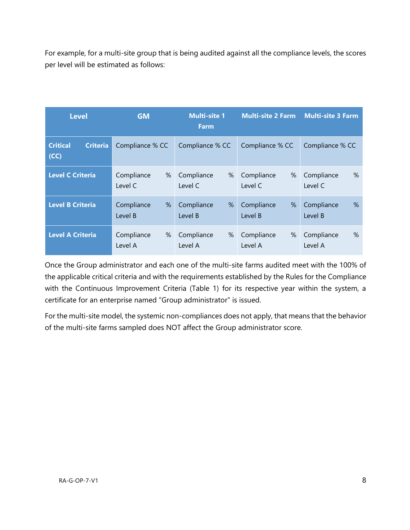For example, for a multi-site group that is being audited against all the compliance levels, the scores per level will be estimated as follows:

| <b>Level</b>                               | <b>GM</b>       | <b>Multi-site 1</b><br><b>Farm</b> |                 | <b>Multi-site 2 Farm Multi-site 3 Farm</b> |
|--------------------------------------------|-----------------|------------------------------------|-----------------|--------------------------------------------|
| <b>Critical</b><br><b>Criteria</b><br>(CC) | Compliance % CC | Compliance % CC                    | Compliance % CC | Compliance % CC                            |
| <b>Level C Criteria</b>                    | Compliance      | %                                  | Compliance      | $\%$                                       |
|                                            | %               | Compliance                         | %               | Compliance                                 |
|                                            | Level C         | Level C                            | Level C         | Level C                                    |
| <b>Level B Criteria</b>                    | Compliance      | Compliance                         | Compliance      | Compliance                                 |
|                                            | %               | %                                  | %               | $\%$                                       |
|                                            | Level B         | Level B                            | Level B         | Level B                                    |
| <b>Level A Criteria</b>                    | Compliance      | Compliance                         | Compliance      | $\%$                                       |
|                                            | %               | %                                  | %               | Compliance                                 |
|                                            | Level A         | Level A                            | Level A         | Level A                                    |

Once the Group administrator and each one of the multi-site farms audited meet with the 100% of the applicable critical criteria and with the requirements established by the Rules for the Compliance with the Continuous Improvement Criteria (Table 1) for its respective year within the system, a certificate for an enterprise named "Group administrator" is issued.

For the multi-site model, the systemic non-compliances does not apply, that means that the behavior of the multi-site farms sampled does NOT affect the Group administrator score.